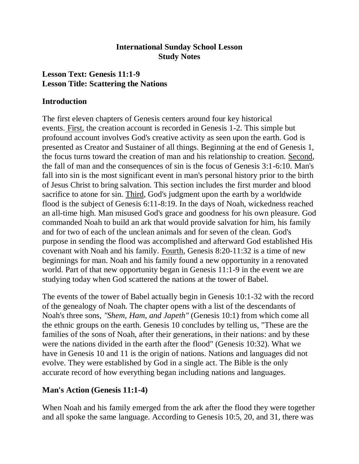## **International Sunday School Lesson Study Notes**

# **Lesson Text: Genesis 11:1-9 Lesson Title: Scattering the Nations**

#### **Introduction**

The first eleven chapters of Genesis centers around four key historical events. First, the creation account is recorded in Genesis 1-2. This simple but profound account involves God's creative activity as seen upon the earth. God is presented as Creator and Sustainer of all things. Beginning at the end of Genesis 1, the focus turns toward the creation of man and his relationship to creation. Second, the fall of man and the consequences of sin is the focus of Genesis 3:1-6:10. Man's fall into sin is the most significant event in man's personal history prior to the birth of Jesus Christ to bring salvation. This section includes the first murder and blood sacrifice to atone for sin. Third, God's judgment upon the earth by a worldwide flood is the subject of Genesis 6:11-8:19. In the days of Noah, wickedness reached an all-time high. Man misused God's grace and goodness for his own pleasure. God commanded Noah to build an ark that would provide salvation for him, his family and for two of each of the unclean animals and for seven of the clean. God's purpose in sending the flood was accomplished and afterward God established His covenant with Noah and his family. Fourth, Genesis 8:20-11:32 is a time of new beginnings for man. Noah and his family found a new opportunity in a renovated world. Part of that new opportunity began in Genesis 11:1-9 in the event we are studying today when God scattered the nations at the tower of Babel.

The events of the tower of Babel actually begin in Genesis 10:1-32 with the record of the genealogy of Noah. The chapter opens with a list of the descendants of Noah's three sons, *"Shem, Ham, and Japeth"* (Genesis 10:1) from which come all the ethnic groups on the earth. Genesis 10 concludes by telling us, "These are the families of the sons of Noah, after their generations, in their nations: and by these were the nations divided in the earth after the flood" (Genesis 10:32). What we have in Genesis 10 and 11 is the origin of nations. Nations and languages did not evolve. They were established by God in a single act. The Bible is the only accurate record of how everything began including nations and languages.

# **Man's Action (Genesis 11:1-4)**

When Noah and his family emerged from the ark after the flood they were together and all spoke the same language. According to Genesis 10:5, 20, and 31, there was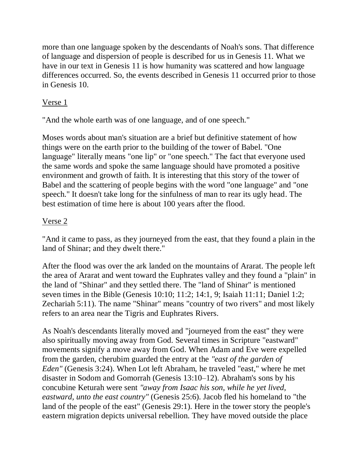more than one language spoken by the descendants of Noah's sons. That difference of language and dispersion of people is described for us in Genesis 11. What we have in our text in Genesis 11 is how humanity was scattered and how language differences occurred. So, the events described in Genesis 11 occurred prior to those in Genesis 10.

## Verse 1

"And the whole earth was of one language, and of one speech."

Moses words about man's situation are a brief but definitive statement of how things were on the earth prior to the building of the tower of Babel. "One language" literally means "one lip" or "one speech." The fact that everyone used the same words and spoke the same language should have promoted a positive environment and growth of faith. It is interesting that this story of the tower of Babel and the scattering of people begins with the word "one language" and "one speech." It doesn't take long for the sinfulness of man to rear its ugly head. The best estimation of time here is about 100 years after the flood.

## Verse 2

"And it came to pass, as they journeyed from the east, that they found a plain in the land of Shinar; and they dwelt there."

After the flood was over the ark landed on the mountains of Ararat. The people left the area of Ararat and went toward the Euphrates valley and they found a "plain" in the land of "Shinar" and they settled there. The "land of Shinar" is mentioned seven times in the Bible (Genesis 10:10; 11:2; 14:1, 9; Isaiah 11:11; Daniel 1:2; Zechariah 5:11). The name "Shinar" means "country of two rivers" and most likely refers to an area near the Tigris and Euphrates Rivers.

As Noah's descendants literally moved and "journeyed from the east" they were also spiritually moving away from God. Several times in Scripture "eastward" movements signify a move away from God. When Adam and Eve were expelled from the garden, cherubim guarded the entry at the *"east of the garden of Eden"* (Genesis 3:24). When Lot left Abraham, he traveled "east," where he met disaster in Sodom and Gomorrah (Genesis 13:10–12). Abraham's sons by his concubine Keturah were sent *"away from Isaac his son, while he yet lived, eastward, unto the east country"* (Genesis 25:6). Jacob fled his homeland to "the land of the people of the east" (Genesis 29:1). Here in the tower story the people's eastern migration depicts universal rebellion. They have moved outside the place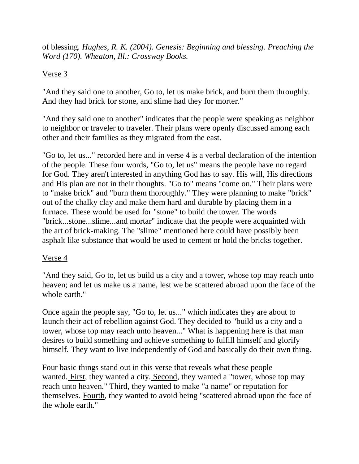of blessing. *Hughes, R. K. (2004). Genesis: Beginning and blessing. Preaching the Word (170). Wheaton, Ill.: Crossway Books.*

## Verse 3

"And they said one to another, Go to, let us make brick, and burn them throughly. And they had brick for stone, and slime had they for morter."

"And they said one to another" indicates that the people were speaking as neighbor to neighbor or traveler to traveler. Their plans were openly discussed among each other and their families as they migrated from the east.

"Go to, let us..." recorded here and in verse 4 is a verbal declaration of the intention of the people. These four words, "Go to, let us" means the people have no regard for God. They aren't interested in anything God has to say. His will, His directions and His plan are not in their thoughts. "Go to" means "come on." Their plans were to "make brick" and "burn them thoroughly." They were planning to make "brick" out of the chalky clay and make them hard and durable by placing them in a furnace. These would be used for "stone" to build the tower. The words "brick...stone...slime...and mortar" indicate that the people were acquainted with the art of brick-making. The "slime" mentioned here could have possibly been asphalt like substance that would be used to cement or hold the bricks together.

#### Verse 4

"And they said, Go to, let us build us a city and a tower, whose top may reach unto heaven; and let us make us a name, lest we be scattered abroad upon the face of the whole earth."

Once again the people say, "Go to, let us..." which indicates they are about to launch their act of rebellion against God. They decided to "build us a city and a tower, whose top may reach unto heaven..." What is happening here is that man desires to build something and achieve something to fulfill himself and glorify himself. They want to live independently of God and basically do their own thing.

Four basic things stand out in this verse that reveals what these people wanted. First, they wanted a city. Second, they wanted a "tower, whose top may reach unto heaven." Third, they wanted to make "a name" or reputation for themselves. Fourth, they wanted to avoid being "scattered abroad upon the face of the whole earth."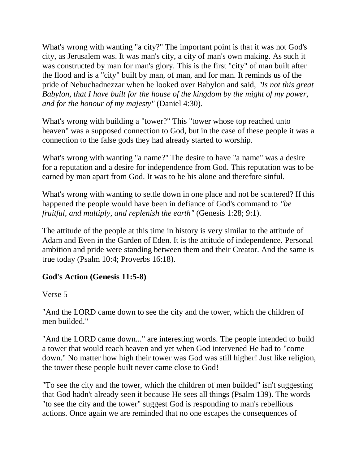What's wrong with wanting "a city?" The important point is that it was not God's city, as Jerusalem was. It was man's city, a city of man's own making. As such it was constructed by man for man's glory. This is the first "city" of man built after the flood and is a "city" built by man, of man, and for man. It reminds us of the pride of Nebuchadnezzar when he looked over Babylon and said, *"Is not this great Babylon, that I have built for the house of the kingdom by the might of my power, and for the honour of my majesty"* (Daniel 4:30).

What's wrong with building a "tower?" This "tower whose top reached unto heaven" was a supposed connection to God, but in the case of these people it was a connection to the false gods they had already started to worship.

What's wrong with wanting "a name?" The desire to have "a name" was a desire for a reputation and a desire for independence from God. This reputation was to be earned by man apart from God. It was to be his alone and therefore sinful.

What's wrong with wanting to settle down in one place and not be scattered? If this happened the people would have been in defiance of God's command to *"be fruitful, and multiply, and replenish the earth"* (Genesis 1:28; 9:1).

The attitude of the people at this time in history is very similar to the attitude of Adam and Even in the Garden of Eden. It is the attitude of independence. Personal ambition and pride were standing between them and their Creator. And the same is true today (Psalm 10:4; Proverbs 16:18).

#### **God's Action (Genesis 11:5-8)**

# Verse 5

"And the LORD came down to see the city and the tower, which the children of men builded."

"And the LORD came down..." are interesting words. The people intended to build a tower that would reach heaven and yet when God intervened He had to "come down." No matter how high their tower was God was still higher! Just like religion, the tower these people built never came close to God!

"To see the city and the tower, which the children of men builded" isn't suggesting that God hadn't already seen it because He sees all things (Psalm 139). The words "to see the city and the tower" suggest God is responding to man's rebellious actions. Once again we are reminded that no one escapes the consequences of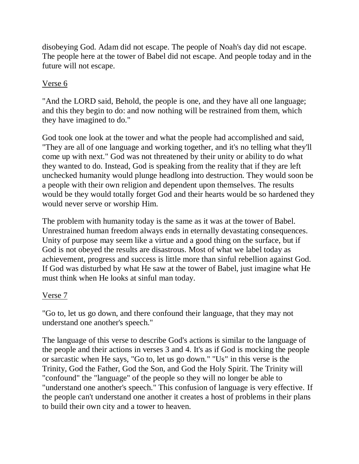disobeying God. Adam did not escape. The people of Noah's day did not escape. The people here at the tower of Babel did not escape. And people today and in the future will not escape.

# Verse 6

"And the LORD said, Behold, the people is one, and they have all one language; and this they begin to do: and now nothing will be restrained from them, which they have imagined to do."

God took one look at the tower and what the people had accomplished and said, "They are all of one language and working together, and it's no telling what they'll come up with next." God was not threatened by their unity or ability to do what they wanted to do. Instead, God is speaking from the reality that if they are left unchecked humanity would plunge headlong into destruction. They would soon be a people with their own religion and dependent upon themselves. The results would be they would totally forget God and their hearts would be so hardened they would never serve or worship Him.

The problem with humanity today is the same as it was at the tower of Babel. Unrestrained human freedom always ends in eternally devastating consequences. Unity of purpose may seem like a virtue and a good thing on the surface, but if God is not obeyed the results are disastrous. Most of what we label today as achievement, progress and success is little more than sinful rebellion against God. If God was disturbed by what He saw at the tower of Babel, just imagine what He must think when He looks at sinful man today.

#### Verse 7

"Go to, let us go down, and there confound their language, that they may not understand one another's speech."

The language of this verse to describe God's actions is similar to the language of the people and their actions in verses 3 and 4. It's as if God is mocking the people or sarcastic when He says, "Go to, let us go down." "Us" in this verse is the Trinity, God the Father, God the Son, and God the Holy Spirit. The Trinity will "confound" the "language" of the people so they will no longer be able to "understand one another's speech." This confusion of language is very effective. If the people can't understand one another it creates a host of problems in their plans to build their own city and a tower to heaven.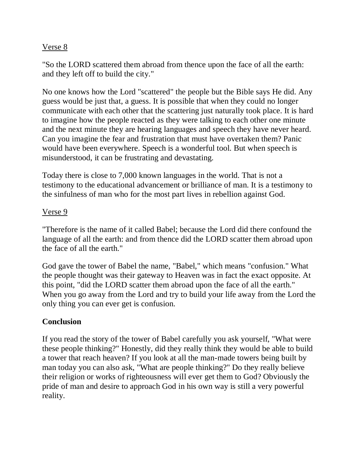#### Verse 8

"So the LORD scattered them abroad from thence upon the face of all the earth: and they left off to build the city."

No one knows how the Lord "scattered" the people but the Bible says He did. Any guess would be just that, a guess. It is possible that when they could no longer communicate with each other that the scattering just naturally took place. It is hard to imagine how the people reacted as they were talking to each other one minute and the next minute they are hearing languages and speech they have never heard. Can you imagine the fear and frustration that must have overtaken them? Panic would have been everywhere. Speech is a wonderful tool. But when speech is misunderstood, it can be frustrating and devastating.

Today there is close to 7,000 known languages in the world. That is not a testimony to the educational advancement or brilliance of man. It is a testimony to the sinfulness of man who for the most part lives in rebellion against God.

## Verse 9

"Therefore is the name of it called Babel; because the Lord did there confound the language of all the earth: and from thence did the LORD scatter them abroad upon the face of all the earth."

God gave the tower of Babel the name, "Babel," which means "confusion." What the people thought was their gateway to Heaven was in fact the exact opposite. At this point, "did the LORD scatter them abroad upon the face of all the earth." When you go away from the Lord and try to build your life away from the Lord the only thing you can ever get is confusion.

# **Conclusion**

If you read the story of the tower of Babel carefully you ask yourself, "What were these people thinking?" Honestly, did they really think they would be able to build a tower that reach heaven? If you look at all the man-made towers being built by man today you can also ask, "What are people thinking?" Do they really believe their religion or works of righteousness will ever get them to God? Obviously the pride of man and desire to approach God in his own way is still a very powerful reality.